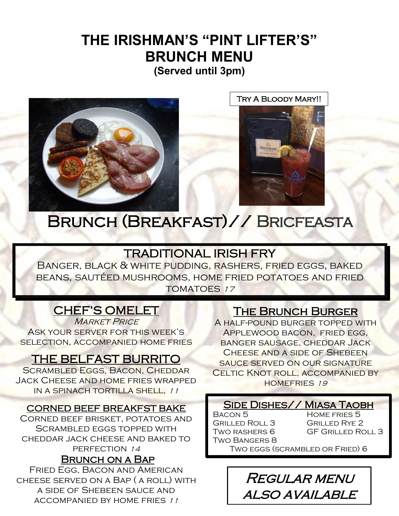# **THE IRISHMAN'S "PINT LIFTER'S" BRUNCH MENU (Served until 3pm)**



Try A Bloody Mary!!

Brunch (Breakfast)// Bricfeasta

# TRADITIONAL IRISH FRY

Banger, black & white pudding, rashers, fried eggs, baked beans, sautéed mushrooms, home fried potatoes and fried TOMATOES 17

l

# CHEF'S OMELET

**MARKET PRICE** Ask your server for this week's selection, accompanied home fries

# THE BELFAST BURRITO

SCRAMBLED EGGS, BACON, CHEDDAR Jack Cheese and home fries wrapped in a spinach tortilla shell, <sup>11</sup>

#### CORNED BEEF BREAKFST BAKE

Corned beef brisket, potatoes and Scrambled eggs topped with cheddar jack cheese and baked to PERFECTION 14

#### Brunch on a Bap

Fried Egg, Bacon and American cheese served on a Bap ( a roll) with a side of Shebeen sauce and accompanied by home fries <sup>11</sup>

#### The Brunch Burger

A half-pound burger topped with Applewood bacon, fried egg, banger sausage, cheddar Jack CHEESE AND A SIDE OF SHEBEEN sauce served on our signature CELTIC KNOT ROLL, ACCOMPANIED BY homefries 19

#### SIDE DISHES// MIASA TAOBH

BACON 5 HOME FRIES 5 Grilled Roll 3 Grilled Rye 2 Two Bangers 8

TWO RASHERS 6 GF GRILLED ROLL 3

Two eggs (scrambled or Fried) 6